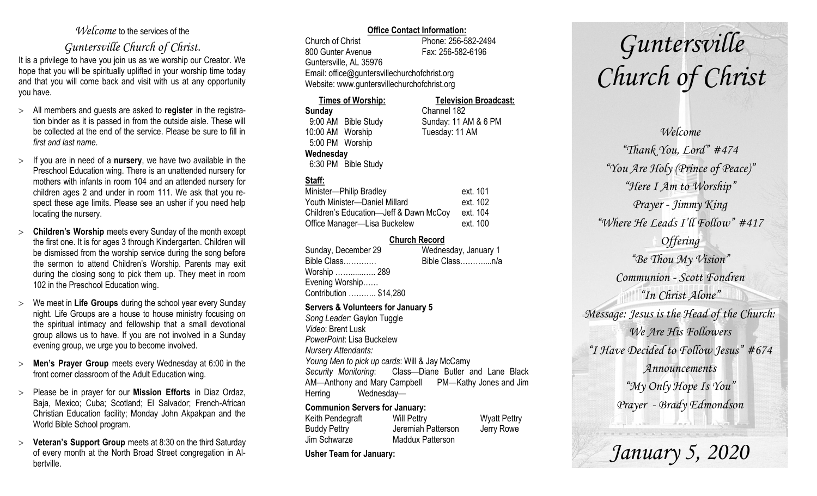### *Welcome* to the services of the

### *Guntersville Church of Christ*.

It is a privilege to have you join us as we worship our Creator. We hope that you will be spiritually uplifted in your worship time today and that you will come back and visit with us at any opportunity you have.

- All members and guests are asked to **register** in the registration binder as it is passed in from the outside aisle. These will be collected at the end of the service. Please be sure to fill in *first and last name*.
- $\geq$  If you are in need of a **nursery**, we have two available in the Preschool Education wing. There is an unattended nursery for mothers with infants in room 104 and an attended nursery for children ages 2 and under in room 111. We ask that you respect these age limits. Please see an usher if you need help locating the nursery.
- **Children's Worship** meets every Sunday of the month except the first one. It is for ages 3 through Kindergarten. Children will be dismissed from the worship service during the song before the sermon to attend Children's Worship. Parents may exit during the closing song to pick them up. They meet in room 102 in the Preschool Education wing.
- We meet in **Life Groups** during the school year every Sunday night. Life Groups are a house to house ministry focusing on the spiritual intimacy and fellowship that a small devotional group allows us to have. If you are not involved in a Sunday evening group, we urge you to become involved.
- **Men's Prayer Group** meets every Wednesday at 6:00 in the front corner classroom of the Adult Education wing.
- Please be in prayer for our **Mission Efforts** in Diaz Ordaz, Baja, Mexico; Cuba; Scotland; El Salvador; French-African Christian Education facility; Monday John Akpakpan and the World Bible School program.
- **Veteran's Support Group** meets at 8:30 on the third Saturday of every month at the North Broad Street congregation in Albertville.

### **Office Contact Information:**

Church of Christ Phone: 256-582-2494 800 Gunter Avenue Fax: 256-582-6196 Guntersville, AL 35976 Email: office@guntersvillechurchofchrist.org Website: www.guntersvillechurchofchrist.org

### **Times of Worship: Television Broadcast: Sunday** Channel 182

9:00 AM Bible Study Sunday: 11 AM & 6 PM 10:00 AM Worship Tuesday: 11 AM 5:00 PM Worship **Wednesday** 6:30 PM Bible Study

### **Staff:**

| Minister-Philip Bradley                | ext. 101 |
|----------------------------------------|----------|
| Youth Minister-Daniel Millard          | ext. 102 |
| Children's Education-Jeff & Dawn McCoy | ext. 104 |
| Office Manager-Lisa Buckelew           | ext. 100 |

### **Church Record**

| Sunday, December 29    | Wednesday, January 1 |
|------------------------|----------------------|
| Bible Class            | Bible Classn/a       |
| Worship  289           |                      |
| Evening Worship        |                      |
| Contribution  \$14,280 |                      |
|                        |                      |

### **Servers & Volunteers for January 5**

*Song Leader:* Gaylon Tuggle *Video*: Brent Lusk *PowerPoint*: Lisa Buckelew *Nursery Attendants: Young Men to pick up cards*: Will & Jay McCamy *Security Monitoring*: Class—Diane Butler and Lane Black AM—Anthony and Mary Campbell PM—Kathy Jones and Jim Herring Wednesday—

### **Communion Servers for January:**

| Keith Pendegraft    | <b>Will Pettry</b>      | <b>Wyatt Pettry</b> |
|---------------------|-------------------------|---------------------|
| <b>Buddy Pettry</b> | Jeremiah Patterson      | Jerry Rowe          |
| Jim Schwarze        | <b>Maddux Patterson</b> |                     |

**Usher Team for January:** 

# *Guntersville Church of Christ*

*Welcome "Thank You, Lord" #474 "You Are Holy (Prince of Peace)" "Here I Am to Worship" Prayer - Jimmy King "Where He Leads I'll Follow" #417 Offering "Be Thou My Vision" Communion - Scott Fondren "In Christ Alone" Message: Jesus is the Head of the Church: We Are His Followers "I Have Decided to Follow Jesus" #674 Announcements "My Only Hope Is You" Prayer - Brady Edmondson*

*January 5, 2020*